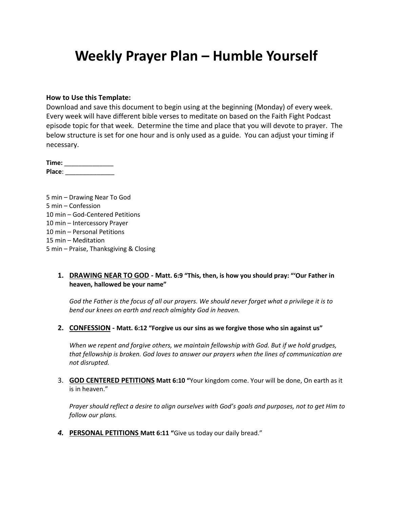# **Weekly Prayer Plan – Humble Yourself**

#### **How to Use this Template:**

Download and save this document to begin using at the beginning (Monday) of every week. Every week will have different bible verses to meditate on based on the Faith Fight Podcast episode topic for that week. Determine the time and place that you will devote to prayer. The below structure is set for one hour and is only used as a guide. You can adjust your timing if necessary.

**Time:** \_\_\_\_\_\_\_\_\_\_\_\_\_\_ **Place**: \_\_\_\_\_\_\_\_\_\_\_\_\_\_

5 min – Drawing Near To God 5 min – Confession 10 min – God-Centered Petitions 10 min – Intercessory Prayer 10 min – Personal Petitions 15 min – Meditation 5 min – Praise, Thanksgiving & Closing

### **1. DRAWING NEAR TO GOD - Matt. 6:9 "This, then, is how you should pray: "'Our Father in heaven, hallowed be your name"**

*God the Father is the focus of all our prayers. We should never forget what a privilege it is to bend our knees on earth and reach almighty God in heaven.*

**2. CONFESSION - Matt. 6:12 "Forgive us our sins as we forgive those who sin against us"**

*When we repent and forgive others, we maintain fellowship with God. But if we hold grudges, that fellowship is broken. God loves to answer our prayers when the lines of communication are not disrupted.*

3. **GOD CENTERED PETITIONS Matt 6:10 "**Your kingdom come. Your will be done, On earth as it is in heaven."

*Prayer should reflect a desire to align ourselves with God's goals and purposes, not to get Him to follow our plans.*

*4.* **PERSONAL PETITIONS Matt 6:11 "**Give us today our daily bread."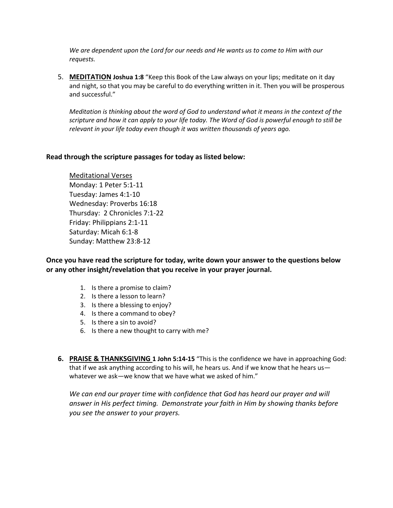*We are dependent upon the Lord for our needs and He wants us to come to Him with our requests.*

5. **MEDITATION Joshua 1:8** "Keep this Book of the Law always on your lips; meditate on it day and night, so that you may be careful to do everything written in it. Then you will be prosperous and successful."

*Meditation is thinking about the word of God to understand what it means in the context of the scripture and how it can apply to your life today. The Word of God is powerful enough to still be relevant in your life today even though it was written thousands of years ago.*

### **Read through the scripture passages for today as listed below:**

Meditational Verses Monday: 1 Peter 5:1-11 Tuesday: James 4:1-10 Wednesday: Proverbs 16:18 Thursday: 2 Chronicles 7:1-22 Friday: Philippians 2:1-11 Saturday: Micah 6:1-8 Sunday: Matthew 23:8-12

**Once you have read the scripture for today, write down your answer to the questions below or any other insight/revelation that you receive in your prayer journal.** 

- 1. Is there a promise to claim?
- 2. Is there a lesson to learn?
- 3. Is there a blessing to enjoy?
- 4. Is there a command to obey?
- 5. Is there a sin to avoid?
- 6. Is there a new thought to carry with me?
- **6. PRAISE & THANKSGIVING 1 John 5:14-15** "This is the confidence we have in approaching God: that if we ask anything according to his will, he hears us. And if we know that he hears us whatever we ask—we know that we have what we asked of him."

We can end our prayer time with confidence that God has heard our prayer and will *answer in His perfect timing. Demonstrate your faith in Him by showing thanks before you see the answer to your prayers.*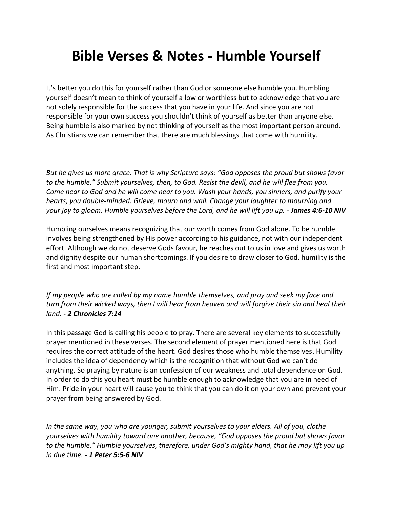## **Bible Verses & Notes - Humble Yourself**

It's better you do this for yourself rather than God or someone else humble you. Humbling yourself doesn't mean to think of yourself a low or worthless but to acknowledge that you are not solely responsible for the success that you have in your life. And since you are not responsible for your own success you shouldn't think of yourself as better than anyone else. Being humble is also marked by not thinking of yourself as the most important person around. As Christians we can remember that there are much blessings that come with humility.

*But he gives us more grace. That is why Scripture says: "God opposes the proud but shows favor to the humble." Submit yourselves, then, to God. Resist the devil, and he will flee from you. Come near to God and he will come near to you. Wash your hands, you sinners, and purify your hearts, you double-minded. Grieve, mourn and wail. Change your laughter to mourning and your joy to gloom. Humble yourselves before the Lord, and he will lift you up. - James 4:6-10 NIV*

Humbling ourselves means recognizing that our worth comes from God alone. To be humble involves being strengthened by His power according to his guidance, not with our independent effort. Although we do not deserve Gods favour, he reaches out to us in love and gives us worth and dignity despite our human shortcomings. If you desire to draw closer to God, humility is the first and most important step.

*If my people who are called by my name humble themselves, and pray and seek my face and turn from their wicked ways, then I will hear from heaven and will forgive their sin and heal their land. - 2 Chronicles 7:14*

In this passage God is calling his people to pray. There are several key elements to successfully prayer mentioned in these verses. The second element of prayer mentioned here is that God requires the correct attitude of the heart. God desires those who humble themselves. Humility includes the idea of dependency which is the recognition that without God we can't do anything. So praying by nature is an confession of our weakness and total dependence on God. In order to do this you heart must be humble enough to acknowledge that you are in need of Him. Pride in your heart will cause you to think that you can do it on your own and prevent your prayer from being answered by God.

*In the same way, you who are younger, submit yourselves to your elders. All of you, clothe yourselves with humility toward one another, because, "God opposes the proud but shows favor to the humble." Humble yourselves, therefore, under God's mighty hand, that he may lift you up in due time. - 1 Peter 5:5-6 NIV*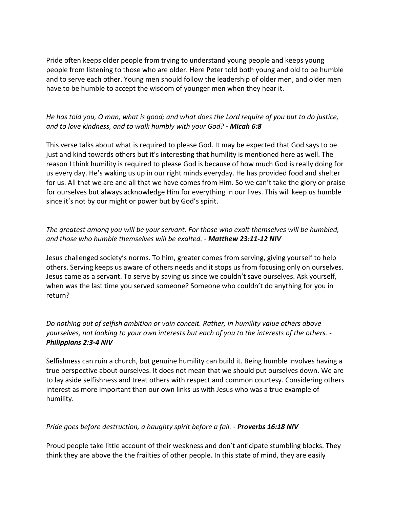Pride often keeps older people from trying to understand young people and keeps young people from listening to those who are older. Here Peter told both young and old to be humble and to serve each other. Young men should follow the leadership of older men, and older men have to be humble to accept the wisdom of younger men when they hear it.

## *He has told you, O man, what is good; and what does the Lord require of you but to do justice, and to love kindness, and to walk humbly with your God? - Micah 6:8*

This verse talks about what is required to please God. It may be expected that God says to be just and kind towards others but it's interesting that humility is mentioned here as well. The reason I think humility is required to please God is because of how much God is really doing for us every day. He's waking us up in our right minds everyday. He has provided food and shelter for us. All that we are and all that we have comes from Him. So we can't take the glory or praise for ourselves but always acknowledge Him for everything in our lives. This will keep us humble since it's not by our might or power but by God's spirit.

## *The greatest among you will be your servant. For those who exalt themselves will be humbled, and those who humble themselves will be exalted. - Matthew 23:11-12 NIV*

Jesus challenged society's norms. To him, greater comes from serving, giving yourself to help others. Serving keeps us aware of others needs and it stops us from focusing only on ourselves. Jesus came as a servant. To serve by saving us since we couldn't save ourselves. Ask yourself, when was the last time you served someone? Someone who couldn't do anything for you in return?

*Do nothing out of selfish ambition or vain conceit. Rather, in humility value others above yourselves, not looking to your own interests but each of you to the interests of the others. - Philippians 2:3-4 NIV*

Selfishness can ruin a church, but genuine humility can build it. Being humble involves having a true perspective about ourselves. It does not mean that we should put ourselves down. We are to lay aside selfishness and treat others with respect and common courtesy. Considering others interest as more important than our own links us with Jesus who was a true example of humility.

### *Pride goes before destruction, a haughty spirit before a fall. - Proverbs 16:18 NIV*

Proud people take little account of their weakness and don't anticipate stumbling blocks. They think they are above the the frailties of other people. In this state of mind, they are easily